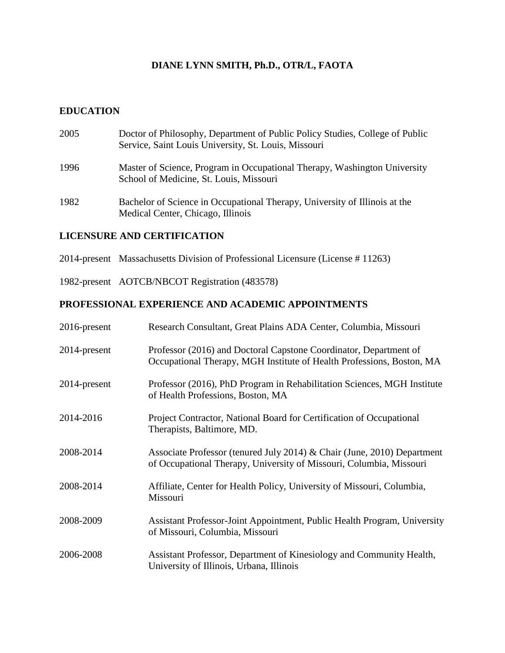# **DIANE LYNN SMITH, Ph.D., OTR/L, FAOTA**

# **EDUCATION**

| 2005 | Doctor of Philosophy, Department of Public Policy Studies, College of Public<br>Service, Saint Louis University, St. Louis, Missouri |
|------|--------------------------------------------------------------------------------------------------------------------------------------|
| 1996 | Master of Science, Program in Occupational Therapy, Washington University<br>School of Medicine, St. Louis, Missouri                 |
| 1982 | Bachelor of Science in Occupational Therapy, University of Illinois at the<br>Medical Center, Chicago, Illinois                      |

# **LICENSURE AND CERTIFICATION**

- 2014-present Massachusetts Division of Professional Licensure (License # 11263)
- 1982-present AOTCB/NBCOT Registration (483578)

# **PROFESSIONAL EXPERIENCE AND ACADEMIC APPOINTMENTS**

| 2016-present | Research Consultant, Great Plains ADA Center, Columbia, Missouri                                                                               |
|--------------|------------------------------------------------------------------------------------------------------------------------------------------------|
| 2014-present | Professor (2016) and Doctoral Capstone Coordinator, Department of<br>Occupational Therapy, MGH Institute of Health Professions, Boston, MA     |
| 2014-present | Professor (2016), PhD Program in Rehabilitation Sciences, MGH Institute<br>of Health Professions, Boston, MA                                   |
| 2014-2016    | Project Contractor, National Board for Certification of Occupational<br>Therapists, Baltimore, MD.                                             |
| 2008-2014    | Associate Professor (tenured July 2014) & Chair (June, 2010) Department<br>of Occupational Therapy, University of Missouri, Columbia, Missouri |
| 2008-2014    | Affiliate, Center for Health Policy, University of Missouri, Columbia,<br>Missouri                                                             |
| 2008-2009    | Assistant Professor-Joint Appointment, Public Health Program, University<br>of Missouri, Columbia, Missouri                                    |
| 2006-2008    | Assistant Professor, Department of Kinesiology and Community Health,<br>University of Illinois, Urbana, Illinois                               |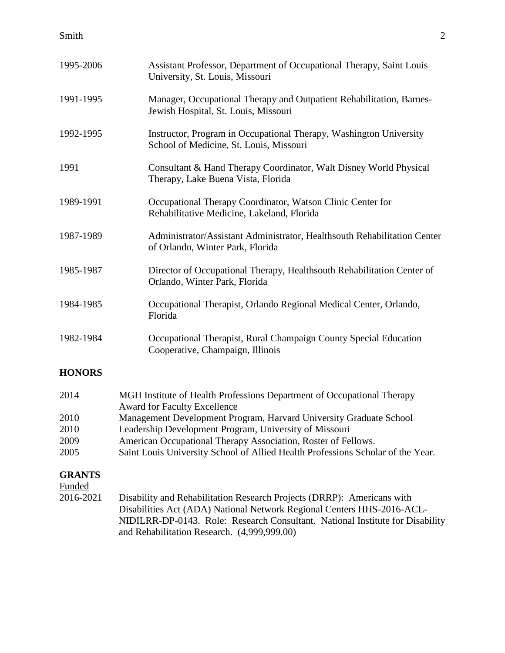| 1995-2006 | Assistant Professor, Department of Occupational Therapy, Saint Louis<br>University, St. Louis, Missouri       |
|-----------|---------------------------------------------------------------------------------------------------------------|
| 1991-1995 | Manager, Occupational Therapy and Outpatient Rehabilitation, Barnes-<br>Jewish Hospital, St. Louis, Missouri  |
| 1992-1995 | Instructor, Program in Occupational Therapy, Washington University<br>School of Medicine, St. Louis, Missouri |
| 1991      | Consultant & Hand Therapy Coordinator, Walt Disney World Physical<br>Therapy, Lake Buena Vista, Florida       |
| 1989-1991 | Occupational Therapy Coordinator, Watson Clinic Center for<br>Rehabilitative Medicine, Lakeland, Florida      |
| 1987-1989 | Administrator/Assistant Administrator, Healthsouth Rehabilitation Center<br>of Orlando, Winter Park, Florida  |
| 1985-1987 | Director of Occupational Therapy, Healthsouth Rehabilitation Center of<br>Orlando, Winter Park, Florida       |
| 1984-1985 | Occupational Therapist, Orlando Regional Medical Center, Orlando,<br>Florida                                  |
| 1982-1984 | Occupational Therapist, Rural Champaign County Special Education<br>Cooperative, Champaign, Illinois          |

# **HONORS**

| 2014 | MGH Institute of Health Professions Department of Occupational Therapy          |
|------|---------------------------------------------------------------------------------|
|      | <b>Award for Faculty Excellence</b>                                             |
| 2010 | Management Development Program, Harvard University Graduate School              |
| 2010 | Leadership Development Program, University of Missouri                          |
| 2009 | American Occupational Therapy Association, Roster of Fellows.                   |
| 2005 | Saint Louis University School of Allied Health Professions Scholar of the Year. |
|      |                                                                                 |

# **GRANTS**

Funded

2016-2021 Disability and Rehabilitation Research Projects (DRRP): Americans with Disabilities Act (ADA) National Network Regional Centers HHS-2016-ACL-NIDILRR-DP-0143. Role: Research Consultant. National Institute for Disability and Rehabilitation Research. (4,999,999.00)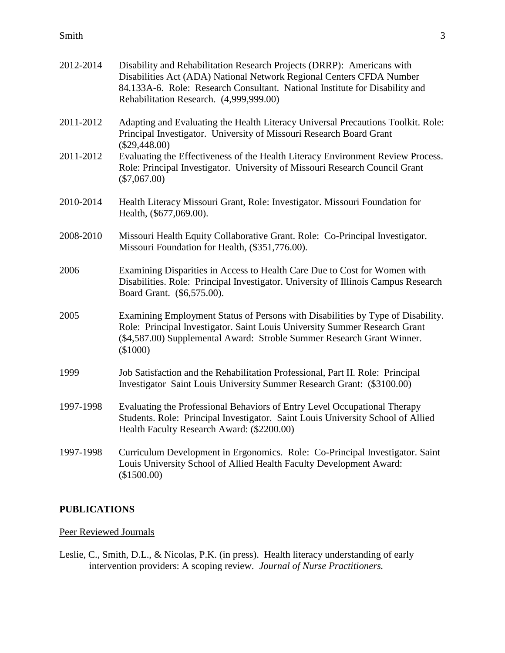#### Smith 3

| 2012-2014 | Disability and Rehabilitation Research Projects (DRRP): Americans with<br>Disabilities Act (ADA) National Network Regional Centers CFDA Number<br>84.133A-6. Role: Research Consultant. National Institute for Disability and<br>Rehabilitation Research. (4,999,999.00) |
|-----------|--------------------------------------------------------------------------------------------------------------------------------------------------------------------------------------------------------------------------------------------------------------------------|
| 2011-2012 | Adapting and Evaluating the Health Literacy Universal Precautions Toolkit. Role:<br>Principal Investigator. University of Missouri Research Board Grant<br>$(\$29,448.00)$                                                                                               |
| 2011-2012 | Evaluating the Effectiveness of the Health Literacy Environment Review Process.<br>Role: Principal Investigator. University of Missouri Research Council Grant<br>$(\$7,067.00)$                                                                                         |
| 2010-2014 | Health Literacy Missouri Grant, Role: Investigator. Missouri Foundation for<br>Health, (\$677,069.00).                                                                                                                                                                   |
| 2008-2010 | Missouri Health Equity Collaborative Grant. Role: Co-Principal Investigator.<br>Missouri Foundation for Health, (\$351,776.00).                                                                                                                                          |
| 2006      | Examining Disparities in Access to Health Care Due to Cost for Women with<br>Disabilities. Role: Principal Investigator. University of Illinois Campus Research<br>Board Grant. (\$6,575.00).                                                                            |
| 2005      | Examining Employment Status of Persons with Disabilities by Type of Disability.<br>Role: Principal Investigator. Saint Louis University Summer Research Grant<br>(\$4,587.00) Supplemental Award: Stroble Summer Research Grant Winner.<br>(\$1000)                      |
| 1999      | Job Satisfaction and the Rehabilitation Professional, Part II. Role: Principal<br>Investigator Saint Louis University Summer Research Grant: (\$3100.00)                                                                                                                 |
| 1997-1998 | Evaluating the Professional Behaviors of Entry Level Occupational Therapy<br>Students. Role: Principal Investigator. Saint Louis University School of Allied<br>Health Faculty Research Award: (\$2200.00)                                                               |
| 1997-1998 | Curriculum Development in Ergonomics. Role: Co-Principal Investigator. Saint<br>Louis University School of Allied Health Faculty Development Award:<br>(\$1500.00)                                                                                                       |

# **PUBLICATIONS**

# Peer Reviewed Journals

Leslie, C., Smith, D.L., & Nicolas, P.K. (in press). Health literacy understanding of early intervention providers: A scoping review. *Journal of Nurse Practitioners.*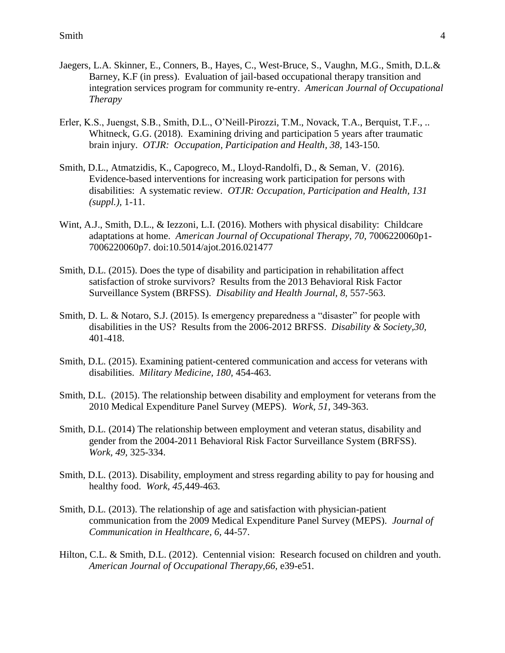- Jaegers, L.A. Skinner, E., Conners, B., Hayes, C., West-Bruce, S., Vaughn, M.G., Smith, D.L.& Barney, K.F (in press). Evaluation of jail-based occupational therapy transition and integration services program for community re-entry. *American Journal of Occupational Therapy*
- Erler, K.S., Juengst, S.B., Smith, D.L., O'Neill-Pirozzi, T.M., Novack, T.A., Berquist, T.F., .. Whitneck, G.G. (2018). Examining driving and participation 5 years after traumatic brain injury. *OTJR: Occupation, Participation and Health, 38,* 143-150*.*
- Smith, D.L., Atmatzidis, K., Capogreco, M., Lloyd-Randolfi, D., & Seman, V. (2016). Evidence-based interventions for increasing work participation for persons with disabilities: A systematic review. *OTJR: Occupation, Participation and Health, 131 (suppl.),* 1-11.
- Wint, A.J., Smith, D.L., & Iezzoni, L.I. (2016). Mothers with physical disability: Childcare adaptations at home. *American Journal of Occupational Therapy, 70,* 7006220060p1- 7006220060p7. doi:10.5014/ajot.2016.021477
- Smith, D.L. (2015). Does the type of disability and participation in rehabilitation affect satisfaction of stroke survivors? Results from the 2013 Behavioral Risk Factor Surveillance System (BRFSS). *Disability and Health Journal, 8,* 557-563.
- Smith, D. L. & Notaro, S.J. (2015). Is emergency preparedness a "disaster" for people with disabilities in the US? Results from the 2006-2012 BRFSS. *Disability & Society,30,*  401-418.
- Smith, D.L. (2015). Examining patient-centered communication and access for veterans with disabilities. *Military Medicine, 180,* 454-463.
- Smith, D.L. (2015). The relationship between disability and employment for veterans from the 2010 Medical Expenditure Panel Survey (MEPS). *Work, 51,* 349-363.
- Smith, D.L. (2014) The relationship between employment and veteran status, disability and gender from the 2004-2011 Behavioral Risk Factor Surveillance System (BRFSS). *Work, 49,* 325-334.
- Smith, D.L. (2013). Disability, employment and stress regarding ability to pay for housing and healthy food. *Work, 45,*449-463*.*
- Smith, D.L. (2013). The relationship of age and satisfaction with physician-patient communication from the 2009 Medical Expenditure Panel Survey (MEPS). *Journal of Communication in Healthcare, 6,* 44-57.
- Hilton, C.L. & Smith, D.L. (2012). Centennial vision: Research focused on children and youth. *American Journal of Occupational Therapy,66,* e39-e51*.*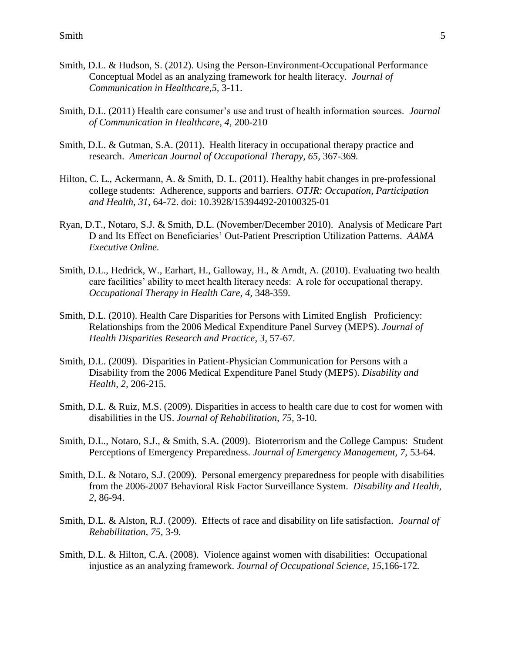- Smith, D.L. & Hudson, S. (2012). Using the Person-Environment-Occupational Performance Conceptual Model as an analyzing framework for health literacy. *Journal of Communication in Healthcare,5,* 3-11.
- Smith, D.L. (2011) Health care consumer's use and trust of health information sources. *Journal of Communication in Healthcare, 4,* 200-210
- Smith, D.L. & Gutman, S.A. (2011). Health literacy in occupational therapy practice and research. *American Journal of Occupational Therapy, 65,* 367-369*.*
- Hilton, C. L., Ackermann, A. & Smith, D. L. (2011). Healthy habit changes in pre-professional college students: Adherence, supports and barriers. *OTJR: Occupation, Participation and Health, 31,* 64-72. doi: 10.3928/15394492-20100325-01
- Ryan, D.T., Notaro, S.J. & Smith, D.L. (November/December 2010). Analysis of Medicare Part D and Its Effect on Beneficiaries' Out-Patient Prescription Utilization Patterns. *AAMA Executive Online.*
- Smith, D.L., Hedrick, W., Earhart, H., Galloway, H., & Arndt, A. (2010). Evaluating two health care facilities' ability to meet health literacy needs: A role for occupational therapy. *Occupational Therapy in Health Care, 4,* 348-359*.*
- Smith, D.L. (2010). Health Care Disparities for Persons with Limited English Proficiency: Relationships from the 2006 Medical Expenditure Panel Survey (MEPS). *Journal of Health Disparities Research and Practice, 3,* 57-67*.*
- Smith, D.L. (2009). Disparities in Patient-Physician Communication for Persons with a Disability from the 2006 Medical Expenditure Panel Study (MEPS). *Disability and Health, 2,* 206-215*.*
- Smith, D.L. & Ruiz, M.S. (2009). Disparities in access to health care due to cost for women with disabilities in the US. *Journal of Rehabilitation, 75,* 3-10*.*
- Smith, D.L., Notaro, S.J., & Smith, S.A. (2009). Bioterrorism and the College Campus: Student Perceptions of Emergency Preparedness. *Journal of Emergency Management, 7,* 53-64.
- Smith, D.L. & Notaro, S.J. (2009). Personal emergency preparedness for people with disabilities from the 2006-2007 Behavioral Risk Factor Surveillance System. *Disability and Health, 2,* 86-94.
- Smith, D.L. & Alston, R.J. (2009). Effects of race and disability on life satisfaction. *Journal of Rehabilitation, 75,* 3-9*.*
- Smith, D.L. & Hilton, C.A. (2008). Violence against women with disabilities: Occupational injustice as an analyzing framework. *Journal of Occupational Science, 15,*166-172*.*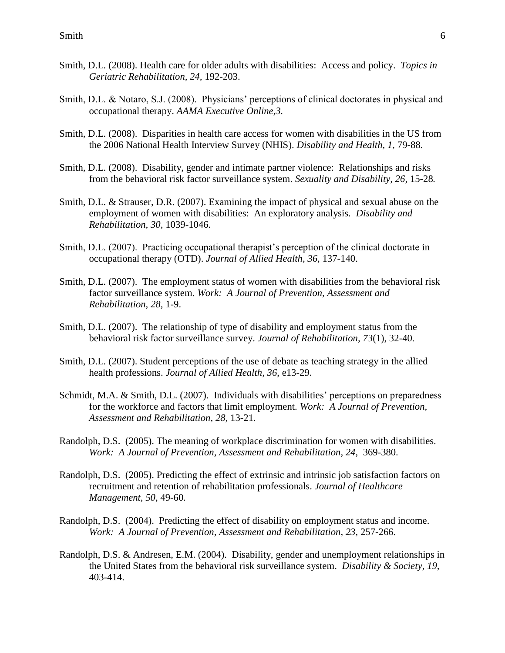- Smith, D.L. (2008). Health care for older adults with disabilities: Access and policy. *Topics in Geriatric Rehabilitation, 24,* 192-203.
- Smith, D.L. & Notaro, S.J. (2008). Physicians' perceptions of clinical doctorates in physical and occupational therapy. *AAMA Executive Online,3.*
- Smith, D.L. (2008). Disparities in health care access for women with disabilities in the US from the 2006 National Health Interview Survey (NHIS). *Disability and Health, 1,* 79-88*.*
- Smith, D.L. (2008). Disability, gender and intimate partner violence: Relationships and risks from the behavioral risk factor surveillance system. *Sexuality and Disability, 26,* 15-28*.*
- Smith, D.L. & Strauser, D.R. (2007). Examining the impact of physical and sexual abuse on the employment of women with disabilities: An exploratory analysis. *Disability and Rehabilitation, 30,* 1039-1046.
- Smith, D.L. (2007). Practicing occupational therapist's perception of the clinical doctorate in occupational therapy (OTD). *Journal of Allied Health, 36,* 137-140.
- Smith, D.L. (2007). The employment status of women with disabilities from the behavioral risk factor surveillance system. *Work: A Journal of Prevention, Assessment and Rehabilitation, 28,* 1-9.
- Smith, D.L. (2007). The relationship of type of disability and employment status from the behavioral risk factor surveillance survey. *Journal of Rehabilitation, 73*(1), 32-40*.*
- Smith, D.L. (2007). Student perceptions of the use of debate as teaching strategy in the allied health professions. *Journal of Allied Health, 36*, e13-29.
- Schmidt, M.A. & Smith, D.L. (2007). Individuals with disabilities' perceptions on preparedness for the workforce and factors that limit employment. *Work: A Journal of Prevention, Assessment and Rehabilitation, 28,* 13-21.
- Randolph, D.S. (2005). The meaning of workplace discrimination for women with disabilities. *Work: A Journal of Prevention, Assessment and Rehabilitation, 24*, 369-380.
- Randolph, D.S. (2005). Predicting the effect of extrinsic and intrinsic job satisfaction factors on recruitment and retention of rehabilitation professionals. *Journal of Healthcare Management, 50*, 49-60*.*
- Randolph, D.S. (2004). Predicting the effect of disability on employment status and income. *Work: A Journal of Prevention, Assessment and Rehabilitation, 23*, 257-266.
- Randolph, D.S. & Andresen, E.M. (2004). Disability, gender and unemployment relationships in the United States from the behavioral risk surveillance system. *Disability & Society, 19,* 403-414.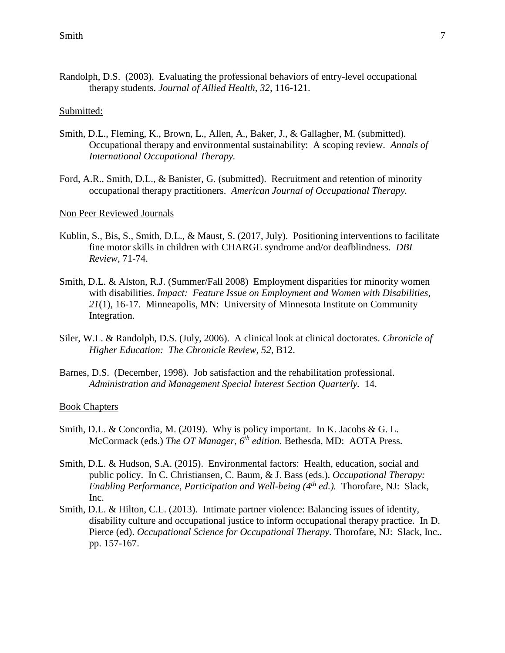Randolph, D.S. (2003). Evaluating the professional behaviors of entry-level occupational therapy students. *Journal of Allied Health, 32,* 116-121.

#### Submitted:

- Smith, D.L., Fleming, K., Brown, L., Allen, A., Baker, J., & Gallagher, M. (submitted). Occupational therapy and environmental sustainability: A scoping review. *Annals of International Occupational Therapy.*
- Ford, A.R., Smith, D.L., & Banister, G. (submitted). Recruitment and retention of minority occupational therapy practitioners. *American Journal of Occupational Therapy.*

#### Non Peer Reviewed Journals

- Kublin, S., Bis, S., Smith, D.L., & Maust, S. (2017, July). Positioning interventions to facilitate fine motor skills in children with CHARGE syndrome and/or deafblindness. *DBI Review,* 71-74.
- Smith, D.L. & Alston, R.J. (Summer/Fall 2008) Employment disparities for minority women with disabilities. *Impact: Feature Issue on Employment and Women with Disabilities, 21*(1), 16-17*.* Minneapolis, MN: University of Minnesota Institute on Community Integration.
- Siler, W.L. & Randolph, D.S. (July, 2006). A clinical look at clinical doctorates. *Chronicle of Higher Education: The Chronicle Review, 52*, B12.
- Barnes, D.S. (December, 1998). Job satisfaction and the rehabilitation professional. *Administration and Management Special Interest Section Quarterly.* 14.

#### Book Chapters

- Smith, D.L. & Concordia, M. (2019). Why is policy important. In K. Jacobs & G. L. McCormack (eds.) *The OT Manager, 6th edition.* Bethesda, MD: AOTA Press.
- Smith, D.L. & Hudson, S.A. (2015). Environmental factors: Health, education, social and public policy. In C. Christiansen, C. Baum, & J. Bass (eds.). *Occupational Therapy: Enabling Performance, Participation and Well-being (4th ed.).* Thorofare, NJ: Slack, Inc.
- Smith, D.L. & Hilton, C.L. (2013). Intimate partner violence: Balancing issues of identity, disability culture and occupational justice to inform occupational therapy practice. In D. Pierce (ed). *Occupational Science for Occupational Therapy.* Thorofare, NJ: Slack, Inc.. pp. 157-167.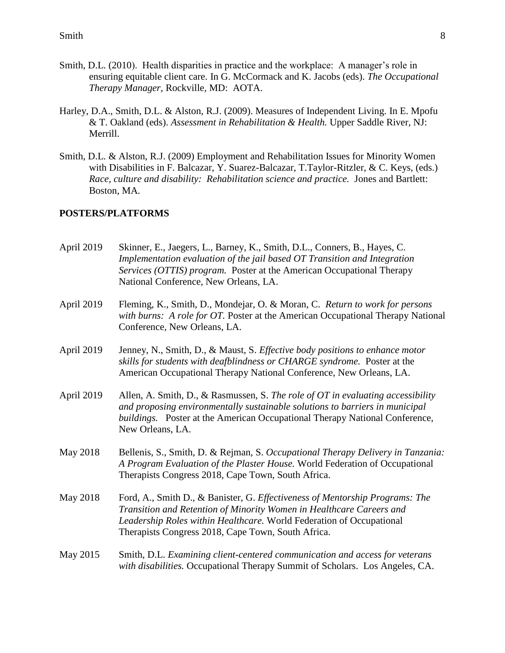- Smith, D.L. (2010). Health disparities in practice and the workplace: A manager's role in ensuring equitable client care. In G. McCormack and K. Jacobs (eds). *The Occupational Therapy Manager,* Rockville, MD: AOTA.
- Harley, D.A., Smith, D.L. & Alston, R.J. (2009). Measures of Independent Living. In E. Mpofu & T. Oakland (eds). *Assessment in Rehabilitation & Health.* Upper Saddle River, NJ: Merrill.
- Smith, D.L. & Alston, R.J. (2009) Employment and Rehabilitation Issues for Minority Women with Disabilities in F. Balcazar, Y. Suarez-Balcazar, T.Taylor-Ritzler, & C. Keys, (eds.) *Race, culture and disability: Rehabilitation science and practice.* Jones and Bartlett: Boston, MA*.*

## **POSTERS/PLATFORMS**

April 2019 Skinner, E., Jaegers, L., Barney, K., Smith, D.L., Conners, B., Hayes, C. *Implementation evaluation of the jail based OT Transition and Integration Services (OTTIS) program.* Poster at the American Occupational Therapy National Conference, New Orleans, LA. April 2019 Fleming, K., Smith, D., Mondejar, O. & Moran, C. *Return to work for persons with burns: A role for OT.* Poster at the American Occupational Therapy National Conference, New Orleans, LA. April 2019 Jenney, N., Smith, D., & Maust, S. *Effective body positions to enhance motor skills for students with deafblindness or CHARGE syndrome.* Poster at the American Occupational Therapy National Conference, New Orleans, LA. April 2019 Allen, A. Smith, D., & Rasmussen, S. *The role of OT in evaluating accessibility and proposing environmentally sustainable solutions to barriers in municipal buildings.* Poster at the American Occupational Therapy National Conference, New Orleans, LA. May 2018 Bellenis, S., Smith, D. & Rejman, S. *Occupational Therapy Delivery in Tanzania: A Program Evaluation of the Plaster House.* World Federation of Occupational Therapists Congress 2018, Cape Town, South Africa. May 2018 Ford, A., Smith D., & Banister, G. *Effectiveness of Mentorship Programs: The Transition and Retention of Minority Women in Healthcare Careers and Leadership Roles within Healthcare.* World Federation of Occupational Therapists Congress 2018, Cape Town, South Africa. May 2015 Smith, D.L. *Examining client-centered communication and access for veterans with disabilities.* Occupational Therapy Summit of Scholars. Los Angeles, CA.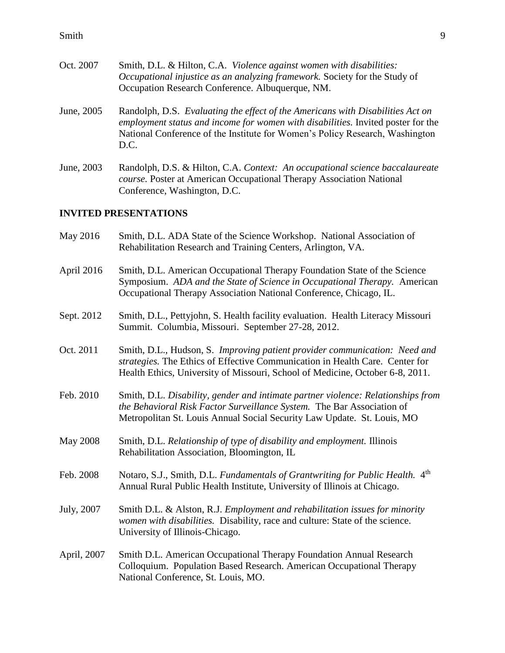| Oct. 2007  | Smith, D.L. & Hilton, C.A. Violence against women with disabilities:<br><i>Occupational injustice as an analyzing framework.</i> Society for the Study of<br>Occupation Research Conference. Albuquerque, NM. |
|------------|---------------------------------------------------------------------------------------------------------------------------------------------------------------------------------------------------------------|
| June, 2005 | Randolph, D.S. Evaluating the effect of the Americans with Disabilities Act on<br>employment status and income for women with disabilities. Invited poster for the                                            |

- *employment status and income for women with disabilities.* Invited poster for the National Conference of the Institute for Women's Policy Research, Washington D.C.
- June, 2003 Randolph, D.S. & Hilton, C.A. *Context: An occupational science baccalaureate course.* Poster at American Occupational Therapy Association National Conference, Washington, D.C.

# **INVITED PRESENTATIONS**

| May 2016        | Smith, D.L. ADA State of the Science Workshop. National Association of<br>Rehabilitation Research and Training Centers, Arlington, VA.                                                                                                      |
|-----------------|---------------------------------------------------------------------------------------------------------------------------------------------------------------------------------------------------------------------------------------------|
| April 2016      | Smith, D.L. American Occupational Therapy Foundation State of the Science<br>Symposium. ADA and the State of Science in Occupational Therapy. American<br>Occupational Therapy Association National Conference, Chicago, IL.                |
| Sept. 2012      | Smith, D.L., Pettyjohn, S. Health facility evaluation. Health Literacy Missouri<br>Summit. Columbia, Missouri. September 27-28, 2012.                                                                                                       |
| Oct. 2011       | Smith, D.L., Hudson, S. Improving patient provider communication: Need and<br>strategies. The Ethics of Effective Communication in Health Care. Center for<br>Health Ethics, University of Missouri, School of Medicine, October 6-8, 2011. |
| Feb. 2010       | Smith, D.L. Disability, gender and intimate partner violence: Relationships from<br>the Behavioral Risk Factor Surveillance System. The Bar Association of<br>Metropolitan St. Louis Annual Social Security Law Update. St. Louis, MO       |
| <b>May 2008</b> | Smith, D.L. Relationship of type of disability and employment. Illinois<br>Rehabilitation Association, Bloomington, IL                                                                                                                      |
| Feb. 2008       | Notaro, S.J., Smith, D.L. Fundamentals of Grantwriting for Public Health. 4th<br>Annual Rural Public Health Institute, University of Illinois at Chicago.                                                                                   |
| July, 2007      | Smith D.L. & Alston, R.J. Employment and rehabilitation issues for minority<br>women with disabilities. Disability, race and culture: State of the science.<br>University of Illinois-Chicago.                                              |
| April, 2007     | Smith D.L. American Occupational Therapy Foundation Annual Research<br>Colloquium. Population Based Research. American Occupational Therapy<br>National Conference, St. Louis, MO.                                                          |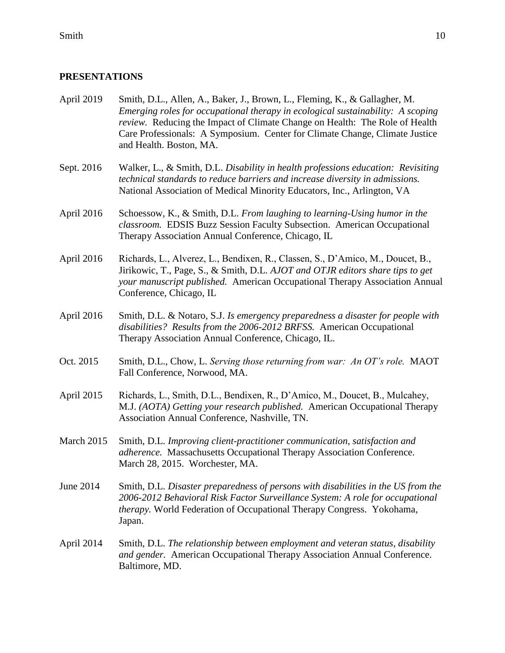#### **PRESENTATIONS**

- April 2019 Smith, D.L., Allen, A., Baker, J., Brown, L., Fleming, K., & Gallagher, M. *Emerging roles for occupational therapy in ecological sustainability: A scoping review.* Reducing the Impact of Climate Change on Health: The Role of Health Care Professionals: A Symposium. Center for Climate Change, Climate Justice and Health. Boston, MA.
- Sept. 2016 Walker, L., & Smith, D.L. *Disability in health professions education: Revisiting technical standards to reduce barriers and increase diversity in admissions.*  National Association of Medical Minority Educators, Inc., Arlington, VA
- April 2016 Schoessow, K., & Smith, D.L. *From laughing to learning-Using humor in the classroom.* EDSIS Buzz Session Faculty Subsection. American Occupational Therapy Association Annual Conference, Chicago, IL
- April 2016 Richards, L., Alverez, L., Bendixen, R., Classen, S., D'Amico, M., Doucet, B., Jirikowic, T., Page, S., & Smith, D.L. *AJOT and OTJR editors share tips to get your manuscript published.* American Occupational Therapy Association Annual Conference, Chicago, IL
- April 2016 Smith, D.L. & Notaro, S.J. *Is emergency preparedness a disaster for people with disabilities? Results from the 2006-2012 BRFSS.* American Occupational Therapy Association Annual Conference, Chicago, IL.
- Oct. 2015 Smith, D.L., Chow, L. *Serving those returning from war: An OT's role.* MAOT Fall Conference, Norwood, MA.
- April 2015 Richards, L., Smith, D.L., Bendixen, R., D'Amico, M., Doucet, B., Mulcahey, M.J. *(AOTA) Getting your research published.* American Occupational Therapy Association Annual Conference, Nashville, TN.
- March 2015 Smith, D.L. *Improving client-practitioner communication, satisfaction and adherence.* Massachusetts Occupational Therapy Association Conference. March 28, 2015. Worchester, MA.
- June 2014 Smith, D.L. *Disaster preparedness of persons with disabilities in the US from the 2006-2012 Behavioral Risk Factor Surveillance System: A role for occupational therapy.* World Federation of Occupational Therapy Congress. Yokohama, Japan.
- April 2014 Smith, D.L. *The relationship between employment and veteran status, disability and gender.* American Occupational Therapy Association Annual Conference. Baltimore, MD.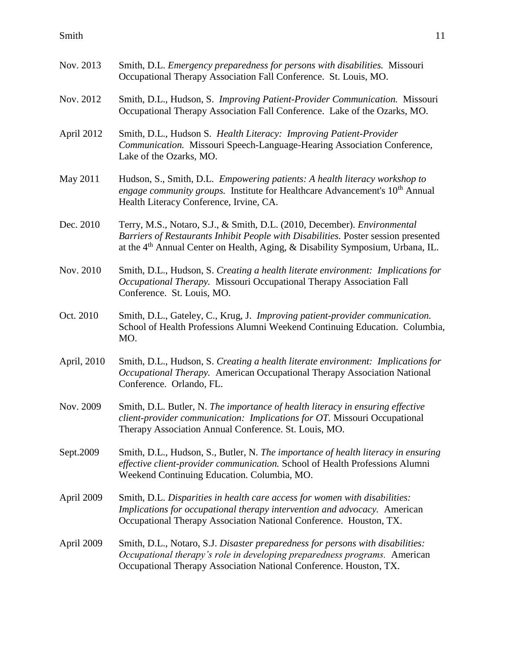| Nov. 2013   | Smith, D.L. Emergency preparedness for persons with disabilities. Missouri<br>Occupational Therapy Association Fall Conference. St. Louis, MO.                                                                                                               |
|-------------|--------------------------------------------------------------------------------------------------------------------------------------------------------------------------------------------------------------------------------------------------------------|
| Nov. 2012   | Smith, D.L., Hudson, S. Improving Patient-Provider Communication. Missouri<br>Occupational Therapy Association Fall Conference. Lake of the Ozarks, MO.                                                                                                      |
| April 2012  | Smith, D.L., Hudson S. Health Literacy: Improving Patient-Provider<br>Communication. Missouri Speech-Language-Hearing Association Conference,<br>Lake of the Ozarks, MO.                                                                                     |
| May 2011    | Hudson, S., Smith, D.L. Empowering patients: A health literacy workshop to<br><i>engage community groups.</i> Institute for Healthcare Advancement's 10 <sup>th</sup> Annual<br>Health Literacy Conference, Irvine, CA.                                      |
| Dec. 2010   | Terry, M.S., Notaro, S.J., & Smith, D.L. (2010, December). Environmental<br>Barriers of Restaurants Inhibit People with Disabilities. Poster session presented<br>at the 4 <sup>th</sup> Annual Center on Health, Aging, & Disability Symposium, Urbana, IL. |
| Nov. 2010   | Smith, D.L., Hudson, S. Creating a health literate environment: Implications for<br>Occupational Therapy. Missouri Occupational Therapy Association Fall<br>Conference. St. Louis, MO.                                                                       |
| Oct. 2010   | Smith, D.L., Gateley, C., Krug, J. Improving patient-provider communication.<br>School of Health Professions Alumni Weekend Continuing Education. Columbia,<br>MO.                                                                                           |
| April, 2010 | Smith, D.L., Hudson, S. Creating a health literate environment: Implications for<br>Occupational Therapy. American Occupational Therapy Association National<br>Conference. Orlando, FL.                                                                     |
| Nov. 2009   | Smith, D.L. Butler, N. The importance of health literacy in ensuring effective<br>client-provider communication: Implications for OT. Missouri Occupational<br>Therapy Association Annual Conference. St. Louis, MO.                                         |
| Sept.2009   | Smith, D.L., Hudson, S., Butler, N. The importance of health literacy in ensuring<br>effective client-provider communication. School of Health Professions Alumni<br>Weekend Continuing Education. Columbia, MO.                                             |
| April 2009  | Smith, D.L. Disparities in health care access for women with disabilities:<br>Implications for occupational therapy intervention and advocacy. American<br>Occupational Therapy Association National Conference. Houston, TX.                                |
| April 2009  | Smith, D.L., Notaro, S.J. Disaster preparedness for persons with disabilities:<br>Occupational therapy's role in developing preparedness programs. American<br>Occupational Therapy Association National Conference. Houston, TX.                            |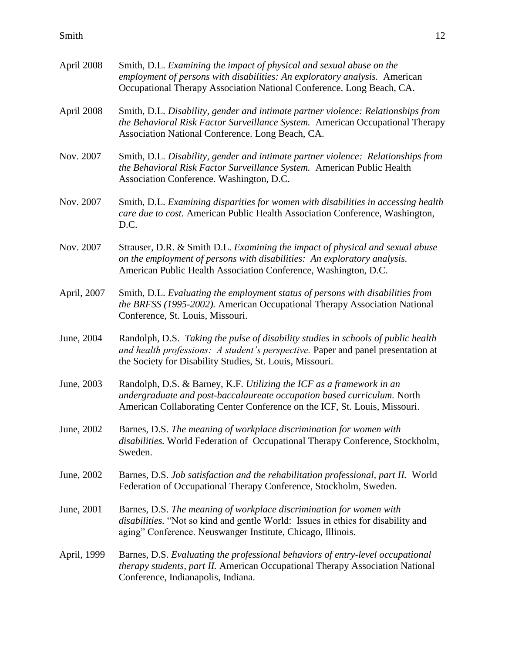| April 2008  | Smith, D.L. Examining the impact of physical and sexual abuse on the<br>employment of persons with disabilities: An exploratory analysis. American<br>Occupational Therapy Association National Conference. Long Beach, CA.       |
|-------------|-----------------------------------------------------------------------------------------------------------------------------------------------------------------------------------------------------------------------------------|
| April 2008  | Smith, D.L. Disability, gender and intimate partner violence: Relationships from<br>the Behavioral Risk Factor Surveillance System. American Occupational Therapy<br>Association National Conference. Long Beach, CA.             |
| Nov. 2007   | Smith, D.L. Disability, gender and intimate partner violence: Relationships from<br>the Behavioral Risk Factor Surveillance System. American Public Health<br>Association Conference. Washington, D.C.                            |
| Nov. 2007   | Smith, D.L. Examining disparities for women with disabilities in accessing health<br>care due to cost. American Public Health Association Conference, Washington,<br>D.C.                                                         |
| Nov. 2007   | Strauser, D.R. & Smith D.L. Examining the impact of physical and sexual abuse<br>on the employment of persons with disabilities: An exploratory analysis.<br>American Public Health Association Conference, Washington, D.C.      |
| April, 2007 | Smith, D.L. Evaluating the employment status of persons with disabilities from<br>the BRFSS (1995-2002). American Occupational Therapy Association National<br>Conference, St. Louis, Missouri.                                   |
| June, 2004  | Randolph, D.S. Taking the pulse of disability studies in schools of public health<br>and health professions: A student's perspective. Paper and panel presentation at<br>the Society for Disability Studies, St. Louis, Missouri. |
| June, 2003  | Randolph, D.S. & Barney, K.F. Utilizing the ICF as a framework in an<br>undergraduate and post-baccalaureate occupation based curriculum. North<br>American Collaborating Center Conference on the ICF, St. Louis, Missouri.      |
| June, 2002  | Barnes, D.S. The meaning of workplace discrimination for women with<br>disabilities. World Federation of Occupational Therapy Conference, Stockholm,<br>Sweden.                                                                   |
| June, 2002  | Barnes, D.S. Job satisfaction and the rehabilitation professional, part II. World<br>Federation of Occupational Therapy Conference, Stockholm, Sweden.                                                                            |
| June, 2001  | Barnes, D.S. The meaning of workplace discrimination for women with<br><i>disabilities</i> . "Not so kind and gentle World: Issues in ethics for disability and<br>aging" Conference. Neuswanger Institute, Chicago, Illinois.    |
| April, 1999 | Barnes, D.S. Evaluating the professional behaviors of entry-level occupational<br>therapy students, part II. American Occupational Therapy Association National<br>Conference, Indianapolis, Indiana.                             |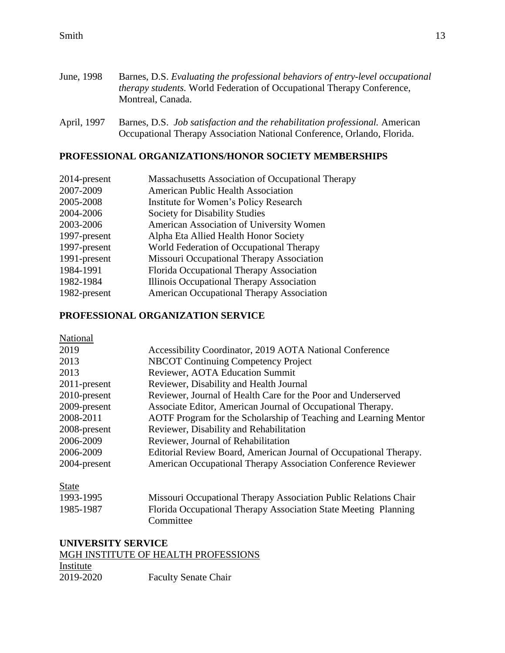| June, 1998 | Barnes, D.S. Evaluating the professional behaviors of entry-level occupational |
|------------|--------------------------------------------------------------------------------|
|            | <i>therapy students.</i> World Federation of Occupational Therapy Conference,  |
|            | Montreal, Canada.                                                              |

April, 1997 Barnes, D.S. *Job satisfaction and the rehabilitation professional.* American Occupational Therapy Association National Conference, Orlando, Florida.

# **PROFESSIONAL ORGANIZATIONS/HONOR SOCIETY MEMBERSHIPS**

| <b>Massachusetts Association of Occupational Therapy</b> |
|----------------------------------------------------------|
| <b>American Public Health Association</b>                |
| Institute for Women's Policy Research                    |
| <b>Society for Disability Studies</b>                    |
| American Association of University Women                 |
| Alpha Eta Allied Health Honor Society                    |
| World Federation of Occupational Therapy                 |
| Missouri Occupational Therapy Association                |
| Florida Occupational Therapy Association                 |
| Illinois Occupational Therapy Association                |
| <b>American Occupational Therapy Association</b>         |
|                                                          |

## **PROFESSIONAL ORGANIZATION SERVICE**

| National        |                                                                   |
|-----------------|-------------------------------------------------------------------|
| 2019            | Accessibility Coordinator, 2019 AOTA National Conference          |
| 2013            | <b>NBCOT Continuing Competency Project</b>                        |
| 2013            | Reviewer, AOTA Education Summit                                   |
| $2011$ -present | Reviewer, Disability and Health Journal                           |
| 2010-present    | Reviewer, Journal of Health Care for the Poor and Underserved     |
| 2009-present    | Associate Editor, American Journal of Occupational Therapy.       |
| 2008-2011       | AOTF Program for the Scholarship of Teaching and Learning Mentor  |
| 2008-present    | Reviewer, Disability and Rehabilitation                           |
| 2006-2009       | Reviewer, Journal of Rehabilitation                               |
| 2006-2009       | Editorial Review Board, American Journal of Occupational Therapy. |
| 2004-present    | American Occupational Therapy Association Conference Reviewer     |

State

| 1993-1995 | Missouri Occupational Therapy Association Public Relations Chair |
|-----------|------------------------------------------------------------------|
| 1985-1987 | Florida Occupational Therapy Association State Meeting Planning  |
|           | Committee                                                        |

# **UNIVERSITY SERVICE**

# MGH INSTITUTE OF HEALTH PROFESSIONS

| Institute |                             |
|-----------|-----------------------------|
| 2019-2020 | <b>Faculty Senate Chair</b> |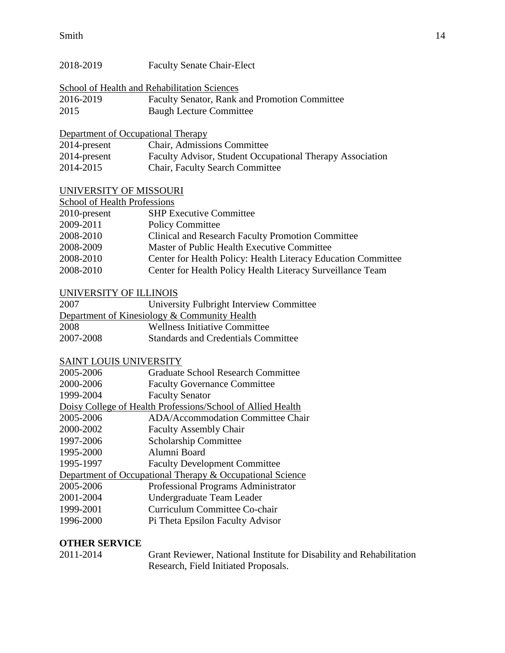| 2018-2019                                    | <b>Faculty Senate Chair-Elect</b>                                    |  |  |
|----------------------------------------------|----------------------------------------------------------------------|--|--|
| School of Health and Rehabilitation Sciences |                                                                      |  |  |
| 2016-2019                                    | Faculty Senator, Rank and Promotion Committee                        |  |  |
| 2015                                         | <b>Baugh Lecture Committee</b>                                       |  |  |
|                                              |                                                                      |  |  |
| Department of Occupational Therapy           |                                                                      |  |  |
| 2014-present                                 | Chair, Admissions Committee                                          |  |  |
| 2014-present                                 | Faculty Advisor, Student Occupational Therapy Association            |  |  |
| 2014-2015                                    | Chair, Faculty Search Committee                                      |  |  |
| UNIVERSITY OF MISSOURI                       |                                                                      |  |  |
| School of Health Professions                 |                                                                      |  |  |
| 2010-present                                 | <b>SHP Executive Committee</b>                                       |  |  |
| 2009-2011                                    | <b>Policy Committee</b>                                              |  |  |
| 2008-2010                                    | Clinical and Research Faculty Promotion Committee                    |  |  |
| 2008-2009                                    | Master of Public Health Executive Committee                          |  |  |
| 2008-2010                                    | Center for Health Policy: Health Literacy Education Committee        |  |  |
| 2008-2010                                    | Center for Health Policy Health Literacy Surveillance Team           |  |  |
|                                              |                                                                      |  |  |
| UNIVERSITY OF ILLINOIS                       |                                                                      |  |  |
| 2007                                         | University Fulbright Interview Committee                             |  |  |
|                                              | Department of Kinesiology & Community Health                         |  |  |
| 2008                                         | <b>Wellness Initiative Committee</b>                                 |  |  |
| 2007-2008                                    | <b>Standards and Credentials Committee</b>                           |  |  |
| <b>SAINT LOUIS UNIVERSITY</b>                |                                                                      |  |  |
| 2005-2006                                    | <b>Graduate School Research Committee</b>                            |  |  |
| 2000-2006                                    | <b>Faculty Governance Committee</b>                                  |  |  |
| 1999-2004                                    | <b>Faculty Senator</b>                                               |  |  |
|                                              | Doisy College of Health Professions/School of Allied Health          |  |  |
| 2005-2006                                    | <b>ADA/Accommodation Committee Chair</b>                             |  |  |
| 2000-2002                                    | <b>Faculty Assembly Chair</b>                                        |  |  |
| 1997-2006                                    | Scholarship Committee                                                |  |  |
| 1995-2000                                    | Alumni Board                                                         |  |  |
| 1995-1997                                    | <b>Faculty Development Committee</b>                                 |  |  |
|                                              |                                                                      |  |  |
| 2005-2006                                    | Department of Occupational Therapy & Occupational Science            |  |  |
| 2001-2004                                    | Professional Programs Administrator                                  |  |  |
| 1999-2001                                    | Undergraduate Team Leader<br>Curriculum Committee Co-chair           |  |  |
|                                              |                                                                      |  |  |
| 1996-2000                                    | Pi Theta Epsilon Faculty Advisor                                     |  |  |
| <b>OTHER SERVICE</b>                         |                                                                      |  |  |
| 2011-2014                                    | Grant Reviewer, National Institute for Disability and Rehabilitation |  |  |
|                                              | Research, Field Initiated Proposals.                                 |  |  |
|                                              |                                                                      |  |  |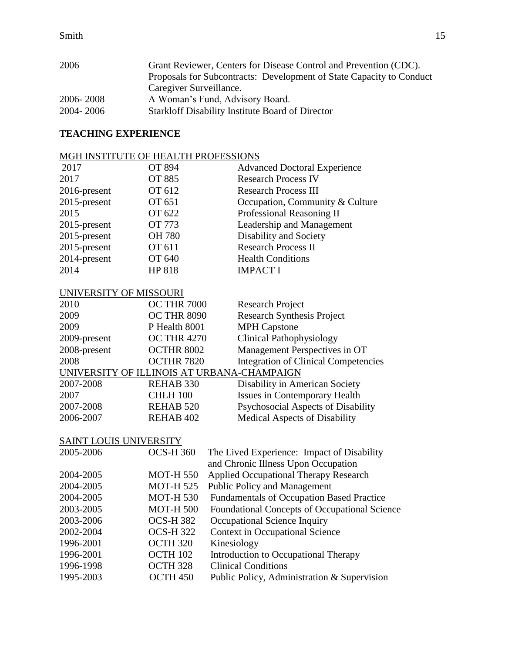| Grant Reviewer, Centers for Disease Control and Prevention (CDC).    |  |  |
|----------------------------------------------------------------------|--|--|
| Proposals for Subcontracts: Development of State Capacity to Conduct |  |  |
| Caregiver Surveillance.                                              |  |  |
| A Woman's Fund, Advisory Board.                                      |  |  |
| Starkloff Disability Institute Board of Director                     |  |  |
|                                                                      |  |  |

# **TEACHING EXPERIENCE**

# MGH INSTITUTE OF HEALTH PROFESSIONS

| 2017            | <b>OT 894</b> | <b>Advanced Doctoral Experience</b> |
|-----------------|---------------|-------------------------------------|
| 2017            | <b>OT 885</b> | <b>Research Process IV</b>          |
| $2016$ -present | OT 612        | <b>Research Process III</b>         |
| $2015$ -present | OT 651        | Occupation, Community & Culture     |
| 2015            | OT 622        | Professional Reasoning II           |
| $2015$ -present | <b>OT 773</b> | Leadership and Management           |
| 2015-present    | <b>OH 780</b> | Disability and Society              |
| $2015$ -present | OT 611        | <b>Research Process II</b>          |
| 2014-present    | OT 640        | <b>Health Conditions</b>            |
| 2014            | HP 818        | <b>IMPACT I</b>                     |

# UNIVERSITY OF MISSOURI

| 2010                                       | <b>OC THR 7000</b>   | <b>Research Project</b>                     |
|--------------------------------------------|----------------------|---------------------------------------------|
| 2009                                       | <b>OC THR 8090</b>   | <b>Research Synthesis Project</b>           |
| 2009                                       | P Health 8001        | <b>MPH Capstone</b>                         |
| 2009-present                               | <b>OC THR 4270</b>   | <b>Clinical Pathophysiology</b>             |
| 2008-present                               | OCTHR 8002           | Management Perspectives in OT               |
| 2008                                       | OCTHR 7820           | <b>Integration of Clinical Competencies</b> |
| UNIVERSITY OF ILLINOIS AT URBANA-CHAMPAIGN |                      |                                             |
| 2007-2008                                  | REHAB 330            | Disability in American Society              |
| 2007                                       | CHLH 100             | <b>Issues in Contemporary Health</b>        |
| 2007-2008                                  | <b>REHAB 520</b>     | Psychosocial Aspects of Disability          |
| 2006-2007                                  | REHAB <sub>402</sub> | <b>Medical Aspects of Disability</b>        |
|                                            |                      |                                             |

# SAINT LOUIS UNIVERSITY

| 2005-2006 | <b>OCS-H 360</b>    | The Lived Experience: Impact of Disability           |
|-----------|---------------------|------------------------------------------------------|
|           |                     | and Chronic Illness Upon Occupation                  |
| 2004-2005 | <b>MOT-H 550</b>    | <b>Applied Occupational Therapy Research</b>         |
| 2004-2005 | <b>MOT-H525</b>     | <b>Public Policy and Management</b>                  |
| 2004-2005 | <b>MOT-H 530</b>    | <b>Fundamentals of Occupation Based Practice</b>     |
| 2003-2005 | <b>MOT-H 500</b>    | <b>Foundational Concepts of Occupational Science</b> |
| 2003-2006 | <b>OCS-H382</b>     | Occupational Science Inquiry                         |
| 2002-2004 | <b>OCS-H322</b>     | <b>Context in Occupational Science</b>               |
| 1996-2001 | OCTH <sub>320</sub> | Kinesiology                                          |
| 1996-2001 | OCTH 102            | Introduction to Occupational Therapy                 |
| 1996-1998 | OCTH <sub>328</sub> | <b>Clinical Conditions</b>                           |
| 1995-2003 | OCTH <sub>450</sub> | Public Policy, Administration & Supervision          |
|           |                     |                                                      |